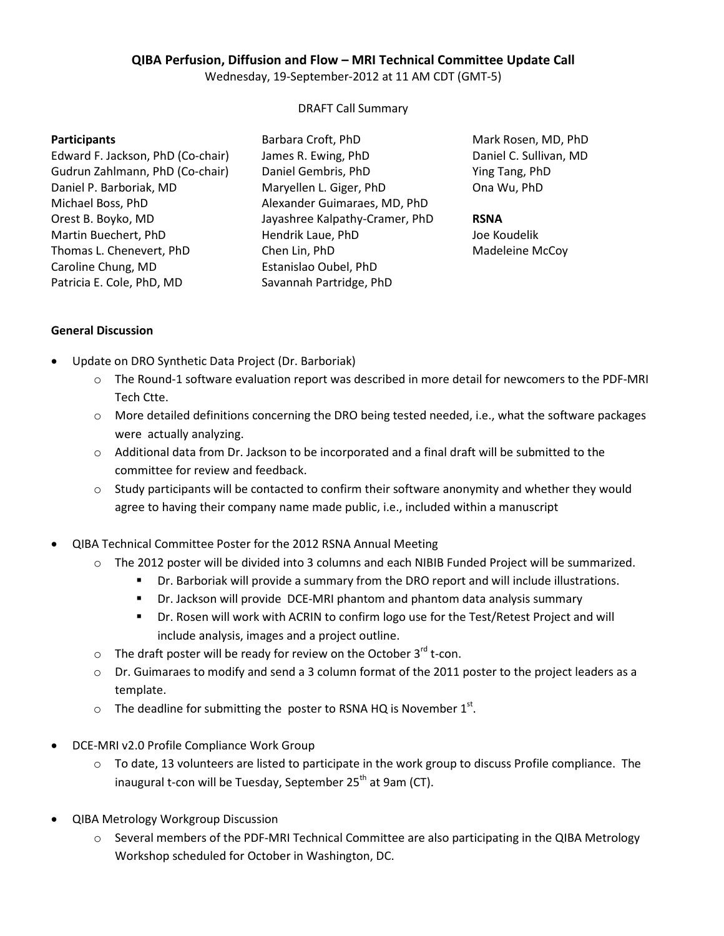## **QIBA Perfusion, Diffusion and Flow – MRI Technical Committee Update Call**

Wednesday, 19-September-2012 at 11 AM CDT (GMT-5)

#### DRAFT Call Summary

#### **Participants**

Edward F. Jackson, PhD (Co-chair) Gudrun Zahlmann, PhD (Co-chair) Daniel P. Barboriak, MD Michael Boss, PhD Orest B. Boyko, MD Martin Buechert, PhD Thomas L. Chenevert, PhD Caroline Chung, MD Patricia E. Cole, PhD, MD

Barbara Croft, PhD James R. Ewing, PhD Daniel Gembris, PhD Maryellen L. Giger, PhD Alexander Guimaraes, MD, PhD Jayashree Kalpathy-Cramer, PhD Hendrik Laue, PhD Chen Lin, PhD Estanislao Oubel, PhD Savannah Partridge, PhD

Mark Rosen, MD, PhD Daniel C. Sullivan, MD Ying Tang, PhD Ona Wu, PhD

## **RSNA**

Joe Koudelik Madeleine McCoy

## **General Discussion**

- Update on DRO Synthetic Data Project (Dr. Barboriak)
	- o The Round-1 software evaluation report was described in more detail for newcomers to the PDF-MRI Tech Ctte.
	- o More detailed definitions concerning the DRO being tested needed, i.e., what the software packages were actually analyzing.
	- $\circ$  Additional data from Dr. Jackson to be incorporated and a final draft will be submitted to the committee for review and feedback.
	- $\circ$  Study participants will be contacted to confirm their software anonymity and whether they would agree to having their company name made public, i.e., included within a manuscript
- QIBA Technical Committee Poster for the 2012 RSNA Annual Meeting
	- o The 2012 poster will be divided into 3 columns and each NIBIB Funded Project will be summarized.
		- Dr. Barboriak will provide a summary from the DRO report and will include illustrations.
		- Dr. Jackson will provide DCE-MRI phantom and phantom data analysis summary
		- Dr. Rosen will work with ACRIN to confirm logo use for the Test/Retest Project and will include analysis, images and a project outline.
	- $\circ$  The draft poster will be ready for review on the October 3<sup>rd</sup> t-con.
	- o Dr. Guimaraes to modify and send a 3 column format of the 2011 poster to the project leaders as a template.
	- $\circ$  The deadline for submitting the poster to RSNA HQ is November 1<sup>st</sup>.
- DCE-MRI v2.0 Profile Compliance Work Group
	- $\circ$  To date, 13 volunteers are listed to participate in the work group to discuss Profile compliance. The inaugural t-con will be Tuesday, September  $25<sup>th</sup>$  at 9am (CT).
- QIBA Metrology Workgroup Discussion
	- o Several members of the PDF-MRI Technical Committee are also participating in the QIBA Metrology Workshop scheduled for October in Washington, DC.